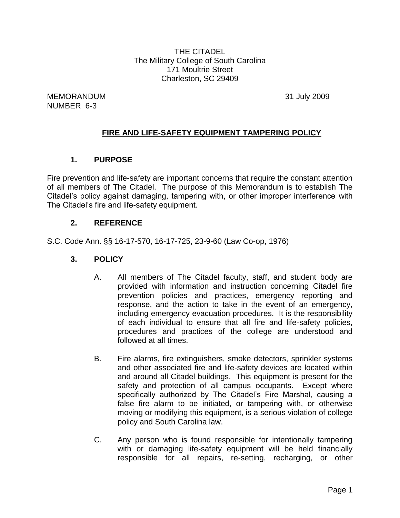THE CITADEL The Military College of South Carolina 171 Moultrie Street Charleston, SC 29409

MEMORANDUM 31 July 2009 NUMBER 6-3

# **FIRE AND LIFE-SAFETY EQUIPMENT TAMPERING POLICY**

## **1. PURPOSE**

Fire prevention and life-safety are important concerns that require the constant attention of all members of The Citadel. The purpose of this Memorandum is to establish The Citadel's policy against damaging, tampering with, or other improper interference with The Citadel's fire and life-safety equipment.

## **2. REFERENCE**

S.C. Code Ann. §§ 16-17-570, 16-17-725, 23-9-60 (Law Co-op, 1976)

- **3. POLICY**
	- A. All members of The Citadel faculty, staff, and student body are provided with information and instruction concerning Citadel fire prevention policies and practices, emergency reporting and response, and the action to take in the event of an emergency, including emergency evacuation procedures. It is the responsibility of each individual to ensure that all fire and life-safety policies, procedures and practices of the college are understood and followed at all times.
	- B. Fire alarms, fire extinguishers, smoke detectors, sprinkler systems and other associated fire and life-safety devices are located within and around all Citadel buildings. This equipment is present for the safety and protection of all campus occupants. Except where specifically authorized by The Citadel's Fire Marshal, causing a false fire alarm to be initiated, or tampering with, or otherwise moving or modifying this equipment, is a serious violation of college policy and South Carolina law.
	- C. Any person who is found responsible for intentionally tampering with or damaging life-safety equipment will be held financially responsible for all repairs, re-setting, recharging, or other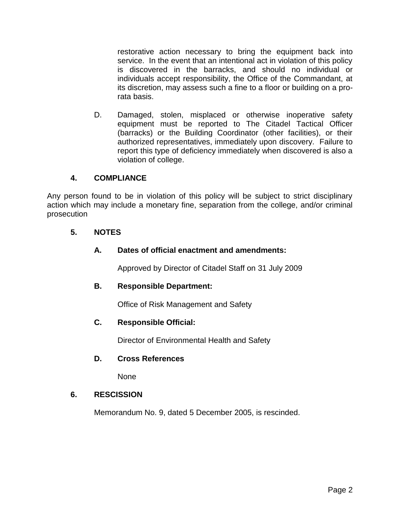restorative action necessary to bring the equipment back into service. In the event that an intentional act in violation of this policy is discovered in the barracks, and should no individual or individuals accept responsibility, the Office of the Commandant, at its discretion, may assess such a fine to a floor or building on a prorata basis.

D. Damaged, stolen, misplaced or otherwise inoperative safety equipment must be reported to The Citadel Tactical Officer (barracks) or the Building Coordinator (other facilities), or their authorized representatives, immediately upon discovery. Failure to report this type of deficiency immediately when discovered is also a violation of college.

## **4. COMPLIANCE**

Any person found to be in violation of this policy will be subject to strict disciplinary action which may include a monetary fine, separation from the college, and/or criminal prosecution

## **5. NOTES**

## **A. Dates of official enactment and amendments:**

Approved by Director of Citadel Staff on 31 July 2009

## **B. Responsible Department:**

Office of Risk Management and Safety

## **C. Responsible Official:**

Director of Environmental Health and Safety

## **D. Cross References**

None

## **6. RESCISSION**

Memorandum No. 9, dated 5 December 2005, is rescinded.